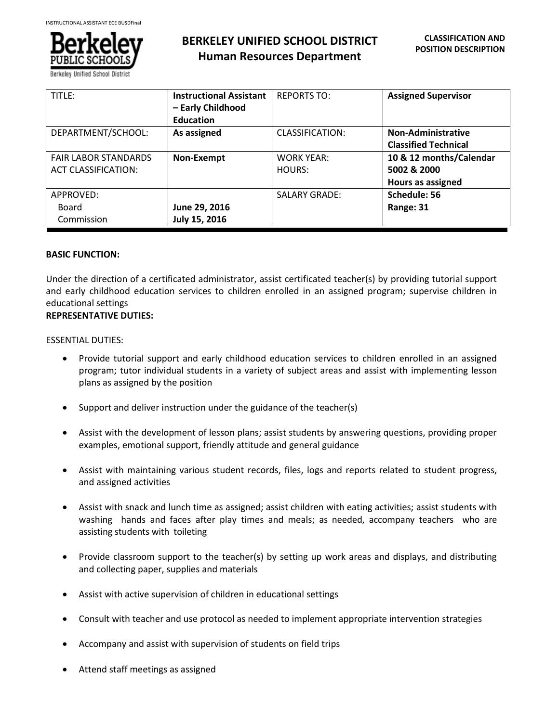

**Berkeley Unified School Distr** 

| TITLE:                      | <b>Instructional Assistant</b> | <b>REPORTS TO:</b>     | <b>Assigned Supervisor</b>  |
|-----------------------------|--------------------------------|------------------------|-----------------------------|
|                             | - Early Childhood              |                        |                             |
|                             | <b>Education</b>               |                        |                             |
| DEPARTMENT/SCHOOL:          | As assigned                    | <b>CLASSIFICATION:</b> | <b>Non-Administrative</b>   |
|                             |                                |                        | <b>Classified Technical</b> |
| <b>FAIR LABOR STANDARDS</b> | Non-Exempt                     | <b>WORK YEAR:</b>      | 10 & 12 months/Calendar     |
| ACT CLASSIFICATION:         |                                | HOURS:                 | 5002 & 2000                 |
|                             |                                |                        | <b>Hours as assigned</b>    |
| APPROVED:                   |                                | <b>SALARY GRADE:</b>   | Schedule: 56                |
| Board                       | June 29, 2016                  |                        | Range: 31                   |
| Commission                  | July 15, 2016                  |                        |                             |

### **BASIC FUNCTION:**

Under the direction of a certificated administrator, assist certificated teacher(s) by providing tutorial support and early childhood education services to children enrolled in an assigned program; supervise children in educational settings

# **REPRESENTATIVE DUTIES:**

#### ESSENTIAL DUTIES:

- Provide tutorial support and early childhood education services to children enrolled in an assigned program; tutor individual students in a variety of subject areas and assist with implementing lesson plans as assigned by the position
- Support and deliver instruction under the guidance of the teacher(s)
- Assist with the development of lesson plans; assist students by answering questions, providing proper examples, emotional support, friendly attitude and general guidance
- Assist with maintaining various student records, files, logs and reports related to student progress, and assigned activities
- Assist with snack and lunch time as assigned; assist children with eating activities; assist students with washing hands and faces after play times and meals; as needed, accompany teachers who are assisting students with toileting
- Provide classroom support to the teacher(s) by setting up work areas and displays, and distributing and collecting paper, supplies and materials
- Assist with active supervision of children in educational settings
- Consult with teacher and use protocol as needed to implement appropriate intervention strategies
- Accompany and assist with supervision of students on field trips
- Attend staff meetings as assigned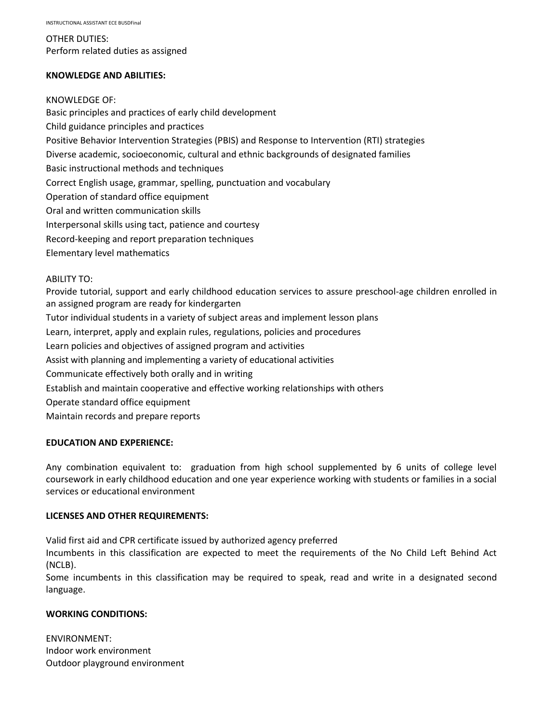OTHER DUTIES: Perform related duties as assigned

### **KNOWLEDGE AND ABILITIES:**

### KNOWLEDGE OF:

Basic principles and practices of early child development Child guidance principles and practices Positive Behavior Intervention Strategies (PBIS) and Response to Intervention (RTI) strategies Diverse academic, socioeconomic, cultural and ethnic backgrounds of designated families Basic instructional methods and techniques Correct English usage, grammar, spelling, punctuation and vocabulary Operation of standard office equipment Oral and written communication skills Interpersonal skills using tact, patience and courtesy Record-keeping and report preparation techniques Elementary level mathematics

### ABILITY TO:

Provide tutorial, support and early childhood education services to assure preschool-age children enrolled in an assigned program are ready for kindergarten Tutor individual students in a variety of subject areas and implement lesson plans Learn, interpret, apply and explain rules, regulations, policies and procedures Learn policies and objectives of assigned program and activities Assist with planning and implementing a variety of educational activities Communicate effectively both orally and in writing Establish and maintain cooperative and effective working relationships with others Operate standard office equipment Maintain records and prepare reports

# **EDUCATION AND EXPERIENCE:**

Any combination equivalent to: graduation from high school supplemented by 6 units of college level coursework in early childhood education and one year experience working with students or families in a social services or educational environment

# **LICENSES AND OTHER REQUIREMENTS:**

Valid first aid and CPR certificate issued by authorized agency preferred

Incumbents in this classification are expected to meet the requirements of the No Child Left Behind Act (NCLB).

Some incumbents in this classification may be required to speak, read and write in a designated second language.

# **WORKING CONDITIONS:**

ENVIRONMENT: Indoor work environment Outdoor playground environment